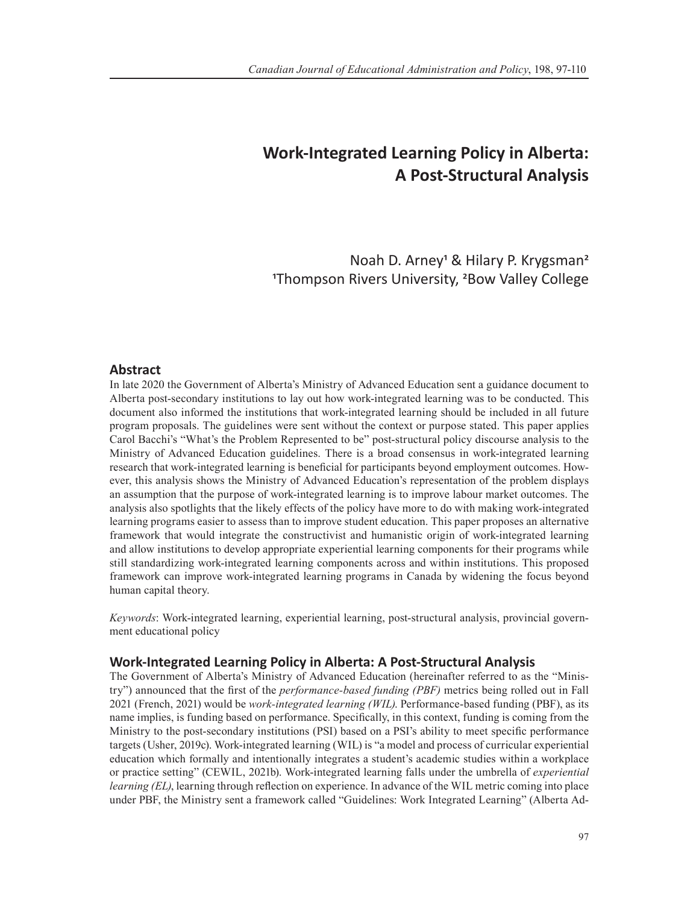# **Work-Integrated Learning Policy in Alberta: A Post-Structural Analysis**

Noah D. Arney<sup>1</sup> & Hilary P. Krygsman<sup>2</sup> 1Thompson Rivers University, 2Bow Valley College

## **Abstract**

In late 2020 the Government of Alberta's Ministry of Advanced Education sent a guidance document to Alberta post-secondary institutions to lay out how work-integrated learning was to be conducted. This document also informed the institutions that work-integrated learning should be included in all future program proposals. The guidelines were sent without the context or purpose stated. This paper applies Carol Bacchi's "What's the Problem Represented to be" post-structural policy discourse analysis to the Ministry of Advanced Education guidelines. There is a broad consensus in work-integrated learning research that work-integrated learning is beneficial for participants beyond employment outcomes. However, this analysis shows the Ministry of Advanced Education's representation of the problem displays an assumption that the purpose of work-integrated learning is to improve labour market outcomes. The analysis also spotlights that the likely effects of the policy have more to do with making work-integrated learning programs easier to assess than to improve student education. This paper proposes an alternative framework that would integrate the constructivist and humanistic origin of work-integrated learning and allow institutions to develop appropriate experiential learning components for their programs while still standardizing work-integrated learning components across and within institutions. This proposed framework can improve work-integrated learning programs in Canada by widening the focus beyond human capital theory.

*Keywords*: Work-integrated learning, experiential learning, post-structural analysis, provincial government educational policy

#### **Work-Integrated Learning Policy in Alberta: A Post-Structural Analysis**

The Government of Alberta's Ministry of Advanced Education (hereinafter referred to as the "Ministry") announced that the first of the *performance-based funding (PBF)* metrics being rolled out in Fall 2021 (French, 2021) would be *work-integrated learning (WIL)*. Performance-based funding (PBF), as its name implies, is funding based on performance. Specifically, in this context, funding is coming from the Ministry to the post-secondary institutions (PSI) based on a PSI's ability to meet specific performance targets (Usher, 2019c). Work-integrated learning (WIL) is "a model and process of curricular experiential education which formally and intentionally integrates a student's academic studies within a workplace or practice setting" (CEWIL, 2021b). Work-integrated learning falls under the umbrella of *experiential learning (EL)*, learning through reflection on experience. In advance of the WIL metric coming into place under PBF, the Ministry sent a framework called "Guidelines: Work Integrated Learning" (Alberta Ad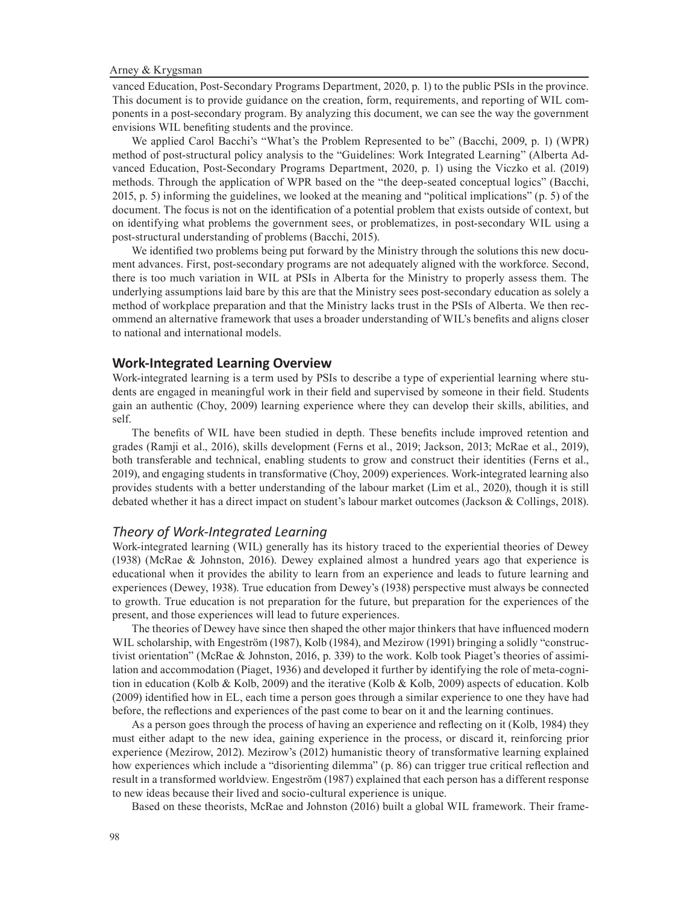vanced Education, Post-Secondary Programs Department, 2020, p. 1) to the public PSIs in the province. This document is to provide guidance on the creation, form, requirements, and reporting of WIL components in a post-secondary program. By analyzing this document, we can see the way the government envisions WIL benefiting students and the province.

We applied Carol Bacchi's "What's the Problem Represented to be" (Bacchi, 2009, p. 1) (WPR) method of post-structural policy analysis to the "Guidelines: Work Integrated Learning" (Alberta Advanced Education, Post-Secondary Programs Department, 2020, p. 1) using the Viczko et al. (2019) methods. Through the application of WPR based on the "the deep-seated conceptual logics" (Bacchi, 2015, p. 5) informing the guidelines, we looked at the meaning and "political implications" (p. 5) of the document. The focus is not on the identification of a potential problem that exists outside of context, but on identifying what problems the government sees, or problematizes, in post-secondary WIL using a post-structural understanding of problems (Bacchi, 2015).

We identified two problems being put forward by the Ministry through the solutions this new document advances. First, post-secondary programs are not adequately aligned with the workforce. Second, there is too much variation in WIL at PSIs in Alberta for the Ministry to properly assess them. The underlying assumptions laid bare by this are that the Ministry sees post-secondary education as solely a method of workplace preparation and that the Ministry lacks trust in the PSIs of Alberta. We then recommend an alternative framework that uses a broader understanding of WIL's benefits and aligns closer to national and international models.

#### **Work-Integrated Learning Overview**

Work-integrated learning is a term used by PSIs to describe a type of experiential learning where students are engaged in meaningful work in their field and supervised by someone in their field. Students gain an authentic (Choy, 2009) learning experience where they can develop their skills, abilities, and self.

The benefits of WIL have been studied in depth. These benefits include improved retention and grades (Ramji et al., 2016), skills development (Ferns et al., 2019; Jackson, 2013; McRae et al., 2019), both transferable and technical, enabling students to grow and construct their identities (Ferns et al., 2019), and engaging students in transformative (Choy, 2009) experiences. Work-integrated learning also provides students with a better understanding of the labour market (Lim et al., 2020), though it is still debated whether it has a direct impact on student's labour market outcomes (Jackson & Collings, 2018).

#### *Theory of Work-Integrated Learning*

Work-integrated learning (WIL) generally has its history traced to the experiential theories of Dewey (1938) (McRae & Johnston, 2016). Dewey explained almost a hundred years ago that experience is educational when it provides the ability to learn from an experience and leads to future learning and experiences (Dewey, 1938). True education from Dewey's (1938) perspective must always be connected to growth. True education is not preparation for the future, but preparation for the experiences of the present, and those experiences will lead to future experiences.

The theories of Dewey have since then shaped the other major thinkers that have influenced modern WIL scholarship, with Engeström (1987), Kolb (1984), and Mezirow (1991) bringing a solidly "constructivist orientation" (McRae & Johnston, 2016, p. 339) to the work. Kolb took Piaget's theories of assimilation and accommodation (Piaget, 1936) and developed it further by identifying the role of meta-cognition in education (Kolb & Kolb, 2009) and the iterative (Kolb & Kolb, 2009) aspects of education. Kolb (2009) identified how in EL, each time a person goes through a similar experience to one they have had before, the reflections and experiences of the past come to bear on it and the learning continues.

As a person goes through the process of having an experience and reflecting on it (Kolb, 1984) they must either adapt to the new idea, gaining experience in the process, or discard it, reinforcing prior experience (Mezirow, 2012). Mezirow's (2012) humanistic theory of transformative learning explained how experiences which include a "disorienting dilemma" (p. 86) can trigger true critical reflection and result in a transformed worldview. Engeström (1987) explained that each person has a different response to new ideas because their lived and socio-cultural experience is unique.

Based on these theorists, McRae and Johnston (2016) built a global WIL framework. Their frame-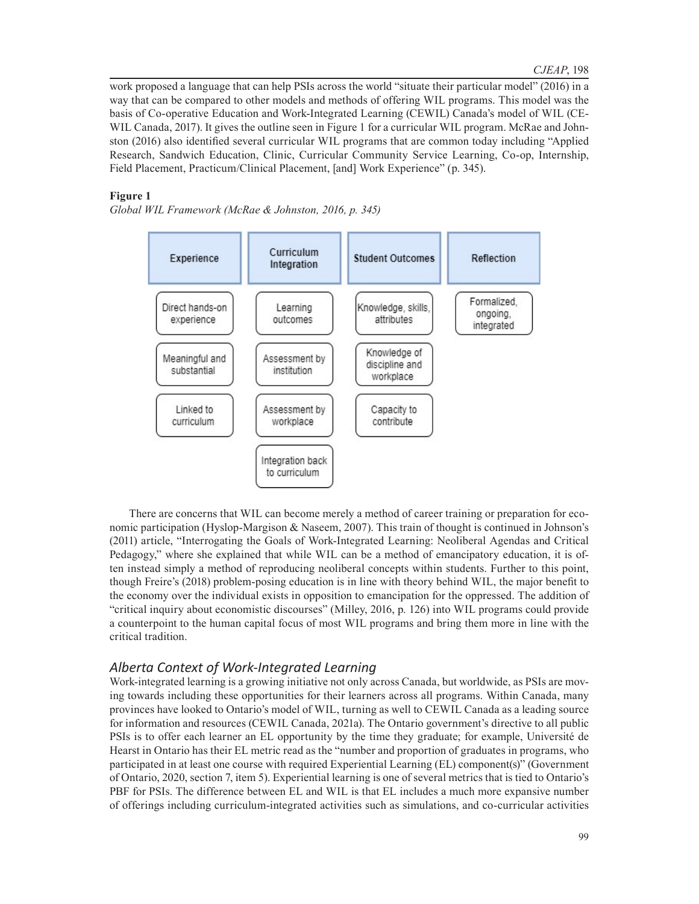work proposed a language that can help PSIs across the world "situate their particular model" (2016) in a way that can be compared to other models and methods of offering WIL programs. This model was the basis of Co-operative Education and Work-Integrated Learning (CEWIL) Canada's model of WIL (CE-WIL Canada, 2017). It gives the outline seen in Figure 1 for a curricular WIL program. McRae and Johnston (2016) also identified several curricular WIL programs that are common today including "Applied Research, Sandwich Education, Clinic, Curricular Community Service Learning, Co-op, Internship, Field Placement, Practicum/Clinical Placement, [and] Work Experience" (p. 345).

#### **Figure 1**

*Global WIL Framework (McRae & Johnston, 2016, p. 345)*



There are concerns that WIL can become merely a method of career training or preparation for economic participation (Hyslop-Margison & Naseem, 2007). This train of thought is continued in Johnson's (2011) article, "Interrogating the Goals of Work-Integrated Learning: Neoliberal Agendas and Critical Pedagogy," where she explained that while WIL can be a method of emancipatory education, it is often instead simply a method of reproducing neoliberal concepts within students. Further to this point, though Freire's (2018) problem-posing education is in line with theory behind WIL, the major benefit to the economy over the individual exists in opposition to emancipation for the oppressed. The addition of "critical inquiry about economistic discourses" (Milley, 2016, p. 126) into WIL programs could provide a counterpoint to the human capital focus of most WIL programs and bring them more in line with the critical tradition.

## *Alberta Context of Work-Integrated Learning*

Work-integrated learning is a growing initiative not only across Canada, but worldwide, as PSIs are moving towards including these opportunities for their learners across all programs. Within Canada, many provinces have looked to Ontario's model of WIL, turning as well to CEWIL Canada as a leading source for information and resources (CEWIL Canada, 2021a). The Ontario government's directive to all public PSIs is to offer each learner an EL opportunity by the time they graduate; for example, Université de Hearst in Ontario has their EL metric read as the "number and proportion of graduates in programs, who participated in at least one course with required Experiential Learning (EL) component(s)" (Government of Ontario, 2020, section 7, item 5). Experiential learning is one of several metrics that is tied to Ontario's PBF for PSIs. The difference between EL and WIL is that EL includes a much more expansive number of offerings including curriculum-integrated activities such as simulations, and co-curricular activities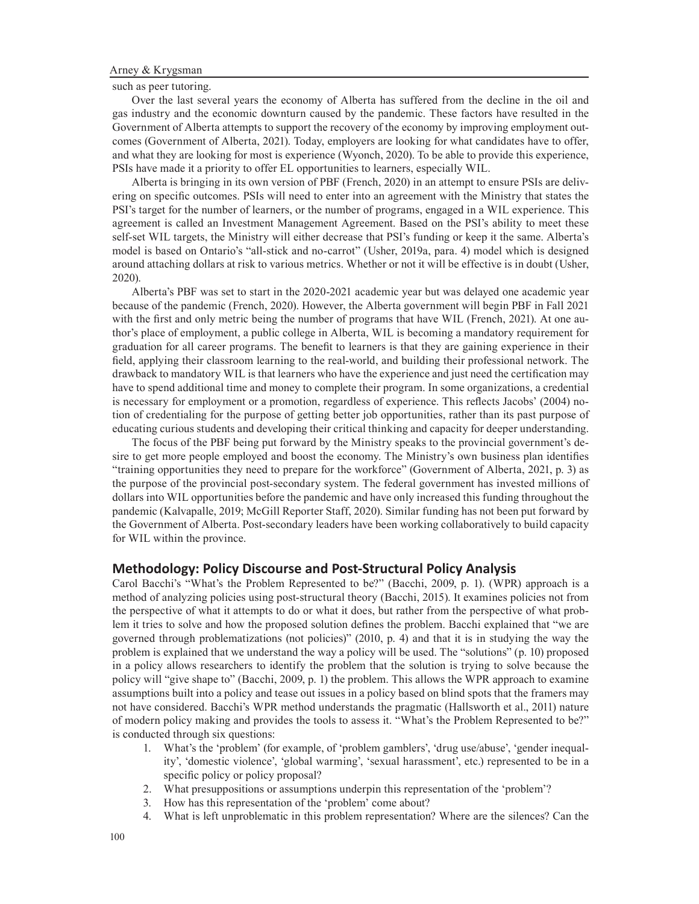such as peer tutoring.

Over the last several years the economy of Alberta has suffered from the decline in the oil and gas industry and the economic downturn caused by the pandemic. These factors have resulted in the Government of Alberta attempts to support the recovery of the economy by improving employment outcomes (Government of Alberta, 2021). Today, employers are looking for what candidates have to offer, and what they are looking for most is experience (Wyonch, 2020). To be able to provide this experience, PSIs have made it a priority to offer EL opportunities to learners, especially WIL.

Alberta is bringing in its own version of PBF (French, 2020) in an attempt to ensure PSIs are delivering on specific outcomes. PSIs will need to enter into an agreement with the Ministry that states the PSI's target for the number of learners, or the number of programs, engaged in a WIL experience. This agreement is called an Investment Management Agreement. Based on the PSI's ability to meet these self-set WIL targets, the Ministry will either decrease that PSI's funding or keep it the same. Alberta's model is based on Ontario's "all-stick and no-carrot" (Usher, 2019a, para. 4) model which is designed around attaching dollars at risk to various metrics. Whether or not it will be effective is in doubt (Usher, 2020).

Alberta's PBF was set to start in the 2020-2021 academic year but was delayed one academic year because of the pandemic (French, 2020). However, the Alberta government will begin PBF in Fall 2021 with the first and only metric being the number of programs that have WIL (French, 2021). At one author's place of employment, a public college in Alberta, WIL is becoming a mandatory requirement for graduation for all career programs. The benefit to learners is that they are gaining experience in their field, applying their classroom learning to the real-world, and building their professional network. The drawback to mandatory WIL is that learners who have the experience and just need the certification may have to spend additional time and money to complete their program. In some organizations, a credential is necessary for employment or a promotion, regardless of experience. This reflects Jacobs' (2004) notion of credentialing for the purpose of getting better job opportunities, rather than its past purpose of educating curious students and developing their critical thinking and capacity for deeper understanding.

The focus of the PBF being put forward by the Ministry speaks to the provincial government's desire to get more people employed and boost the economy. The Ministry's own business plan identifies "training opportunities they need to prepare for the workforce" (Government of Alberta, 2021, p. 3) as the purpose of the provincial post-secondary system. The federal government has invested millions of dollars into WIL opportunities before the pandemic and have only increased this funding throughout the pandemic (Kalvapalle, 2019; McGill Reporter Staff, 2020). Similar funding has not been put forward by the Government of Alberta. Post-secondary leaders have been working collaboratively to build capacity for WIL within the province.

#### **Methodology: Policy Discourse and Post-Structural Policy Analysis**

Carol Bacchi's "What's the Problem Represented to be?" (Bacchi, 2009, p. 1). (WPR) approach is a method of analyzing policies using post-structural theory (Bacchi, 2015). It examines policies not from the perspective of what it attempts to do or what it does, but rather from the perspective of what problem it tries to solve and how the proposed solution defines the problem. Bacchi explained that "we are governed through problematizations (not policies)" (2010, p. 4) and that it is in studying the way the problem is explained that we understand the way a policy will be used. The "solutions" (p. 10) proposed in a policy allows researchers to identify the problem that the solution is trying to solve because the policy will "give shape to" (Bacchi, 2009, p. 1) the problem. This allows the WPR approach to examine assumptions built into a policy and tease out issues in a policy based on blind spots that the framers may not have considered. Bacchi's WPR method understands the pragmatic (Hallsworth et al., 2011) nature of modern policy making and provides the tools to assess it. "What's the Problem Represented to be?" is conducted through six questions:

- 1. What's the 'problem' (for example, of 'problem gamblers', 'drug use/abuse', 'gender inequality', 'domestic violence', 'global warming', 'sexual harassment', etc.) represented to be in a specific policy or policy proposal?
- 2. What presuppositions or assumptions underpin this representation of the 'problem'?
- 3. How has this representation of the 'problem' come about?
- 4. What is left unproblematic in this problem representation? Where are the silences? Can the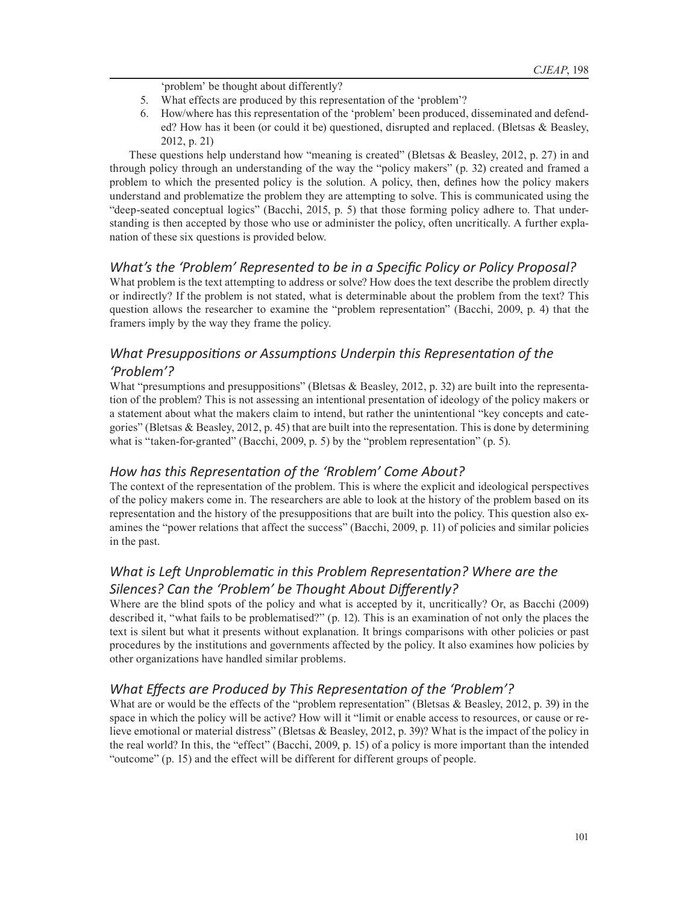'problem' be thought about differently?

- 5. What effects are produced by this representation of the 'problem'?
- 6. How/where has this representation of the 'problem' been produced, disseminated and defended? How has it been (or could it be) questioned, disrupted and replaced. (Bletsas & Beasley, 2012, p. 21)

These questions help understand how "meaning is created" (Bletsas & Beasley, 2012, p. 27) in and through policy through an understanding of the way the "policy makers" (p. 32) created and framed a problem to which the presented policy is the solution. A policy, then, defines how the policy makers understand and problematize the problem they are attempting to solve. This is communicated using the "deep-seated conceptual logics" (Bacchi, 2015, p. 5) that those forming policy adhere to. That understanding is then accepted by those who use or administer the policy, often uncritically. A further explanation of these six questions is provided below.

## *What's the 'Problem' Represented to be in a Specific Policy or Policy Proposal?*

What problem is the text attempting to address or solve? How does the text describe the problem directly or indirectly? If the problem is not stated, what is determinable about the problem from the text? This question allows the researcher to examine the "problem representation" (Bacchi, 2009, p. 4) that the framers imply by the way they frame the policy.

## *What Presuppositions or Assumptions Underpin this Representation of the 'Problem'?*

What "presumptions and presuppositions" (Bletsas & Beasley, 2012, p. 32) are built into the representation of the problem? This is not assessing an intentional presentation of ideology of the policy makers or a statement about what the makers claim to intend, but rather the unintentional "key concepts and categories" (Bletsas & Beasley, 2012, p. 45) that are built into the representation. This is done by determining what is "taken-for-granted" (Bacchi, 2009, p. 5) by the "problem representation" (p. 5).

## *How has this Representation of the 'Rroblem' Come About?*

The context of the representation of the problem. This is where the explicit and ideological perspectives of the policy makers come in. The researchers are able to look at the history of the problem based on its representation and the history of the presuppositions that are built into the policy. This question also examines the "power relations that affect the success" (Bacchi, 2009, p. 11) of policies and similar policies in the past.

## *What is Left Unproblematic in this Problem Representation? Where are the Silences? Can the 'Problem' be Thought About Differently?*

Where are the blind spots of the policy and what is accepted by it, uncritically? Or, as Bacchi (2009) described it, "what fails to be problematised?" (p. 12). This is an examination of not only the places the text is silent but what it presents without explanation. It brings comparisons with other policies or past procedures by the institutions and governments affected by the policy. It also examines how policies by other organizations have handled similar problems.

## *What Effects are Produced by This Representation of the 'Problem'?*

What are or would be the effects of the "problem representation" (Bletsas & Beasley, 2012, p. 39) in the space in which the policy will be active? How will it "limit or enable access to resources, or cause or relieve emotional or material distress" (Bletsas & Beasley, 2012, p. 39)? What is the impact of the policy in the real world? In this, the "effect" (Bacchi, 2009, p. 15) of a policy is more important than the intended "outcome" (p. 15) and the effect will be different for different groups of people.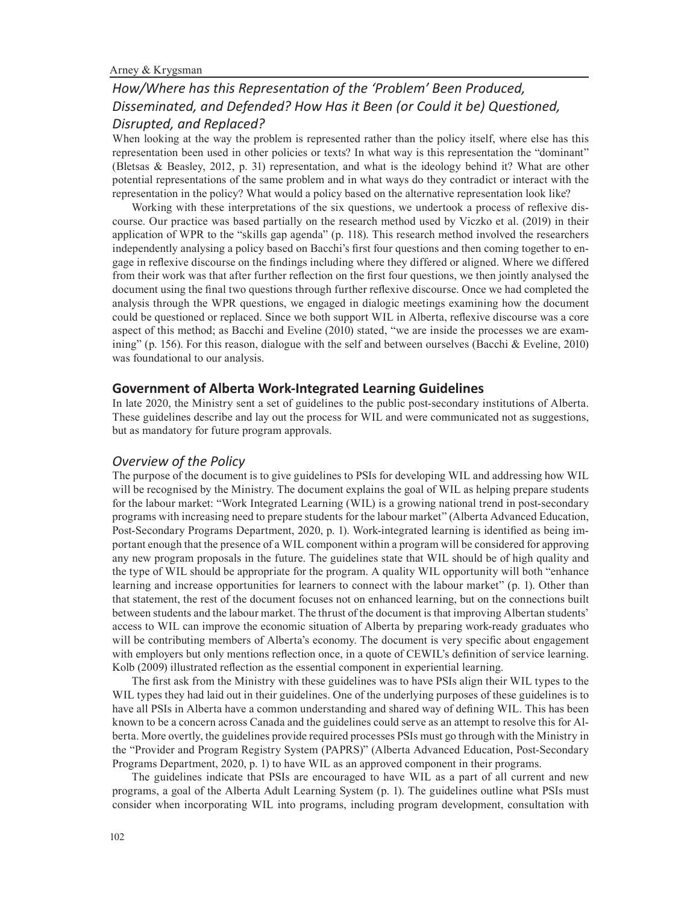## *How/Where has this Representation of the 'Problem' Been Produced, Disseminated, and Defended? How Has it Been (or Could it be) Questioned, Disrupted, and Replaced?*

When looking at the way the problem is represented rather than the policy itself, where else has this representation been used in other policies or texts? In what way is this representation the "dominant" (Bletsas & Beasley, 2012, p. 31) representation, and what is the ideology behind it? What are other potential representations of the same problem and in what ways do they contradict or interact with the representation in the policy? What would a policy based on the alternative representation look like?

Working with these interpretations of the six questions, we undertook a process of reflexive discourse. Our practice was based partially on the research method used by Viczko et al. (2019) in their application of WPR to the "skills gap agenda" (p. 118). This research method involved the researchers independently analysing a policy based on Bacchi's first four questions and then coming together to engage in reflexive discourse on the findings including where they differed or aligned. Where we differed from their work was that after further reflection on the first four questions, we then jointly analysed the document using the final two questions through further reflexive discourse. Once we had completed the analysis through the WPR questions, we engaged in dialogic meetings examining how the document could be questioned or replaced. Since we both support WIL in Alberta, reflexive discourse was a core aspect of this method; as Bacchi and Eveline (2010) stated, "we are inside the processes we are examining" (p. 156). For this reason, dialogue with the self and between ourselves (Bacchi & Eveline, 2010) was foundational to our analysis.

#### **Government of Alberta Work-Integrated Learning Guidelines**

In late 2020, the Ministry sent a set of guidelines to the public post-secondary institutions of Alberta. These guidelines describe and lay out the process for WIL and were communicated not as suggestions, but as mandatory for future program approvals.

#### *Overview of the Policy*

The purpose of the document is to give guidelines to PSIs for developing WIL and addressing how WIL will be recognised by the Ministry. The document explains the goal of WIL as helping prepare students for the labour market: "Work Integrated Learning (WIL) is a growing national trend in post-secondary programs with increasing need to prepare students for the labour market" (Alberta Advanced Education, Post-Secondary Programs Department, 2020, p. 1). Work-integrated learning is identified as being important enough that the presence of a WIL component within a program will be considered for approving any new program proposals in the future. The guidelines state that WIL should be of high quality and the type of WIL should be appropriate for the program. A quality WIL opportunity will both "enhance learning and increase opportunities for learners to connect with the labour market" (p. 1). Other than that statement, the rest of the document focuses not on enhanced learning, but on the connections built between students and the labour market. The thrust of the document is that improving Albertan students' access to WIL can improve the economic situation of Alberta by preparing work-ready graduates who will be contributing members of Alberta's economy. The document is very specific about engagement with employers but only mentions reflection once, in a quote of CEWIL's definition of service learning. Kolb (2009) illustrated reflection as the essential component in experiential learning.

The first ask from the Ministry with these guidelines was to have PSIs align their WIL types to the WIL types they had laid out in their guidelines. One of the underlying purposes of these guidelines is to have all PSIs in Alberta have a common understanding and shared way of defining WIL. This has been known to be a concern across Canada and the guidelines could serve as an attempt to resolve this for Alberta. More overtly, the guidelines provide required processes PSIs must go through with the Ministry in the "Provider and Program Registry System (PAPRS)" (Alberta Advanced Education, Post-Secondary Programs Department, 2020, p. 1) to have WIL as an approved component in their programs.

The guidelines indicate that PSIs are encouraged to have WIL as a part of all current and new programs, a goal of the Alberta Adult Learning System (p. 1). The guidelines outline what PSIs must consider when incorporating WIL into programs, including program development, consultation with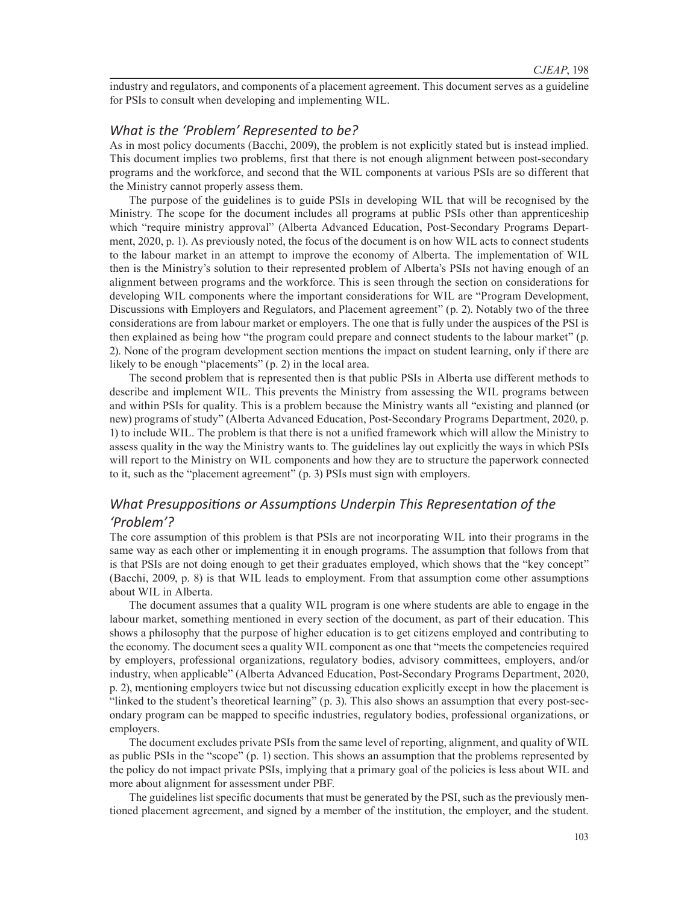industry and regulators, and components of a placement agreement. This document serves as a guideline for PSIs to consult when developing and implementing WIL.

### *What is the 'Problem' Represented to be?*

As in most policy documents (Bacchi, 2009), the problem is not explicitly stated but is instead implied. This document implies two problems, first that there is not enough alignment between post-secondary programs and the workforce, and second that the WIL components at various PSIs are so different that the Ministry cannot properly assess them.

The purpose of the guidelines is to guide PSIs in developing WIL that will be recognised by the Ministry. The scope for the document includes all programs at public PSIs other than apprenticeship which "require ministry approval" (Alberta Advanced Education, Post-Secondary Programs Department, 2020, p. 1). As previously noted, the focus of the document is on how WIL acts to connect students to the labour market in an attempt to improve the economy of Alberta. The implementation of WIL then is the Ministry's solution to their represented problem of Alberta's PSIs not having enough of an alignment between programs and the workforce. This is seen through the section on considerations for developing WIL components where the important considerations for WIL are "Program Development, Discussions with Employers and Regulators, and Placement agreement" (p. 2). Notably two of the three considerations are from labour market or employers. The one that is fully under the auspices of the PSI is then explained as being how "the program could prepare and connect students to the labour market" (p. 2). None of the program development section mentions the impact on student learning, only if there are likely to be enough "placements" (p. 2) in the local area.

The second problem that is represented then is that public PSIs in Alberta use different methods to describe and implement WIL. This prevents the Ministry from assessing the WIL programs between and within PSIs for quality. This is a problem because the Ministry wants all "existing and planned (or new) programs of study" (Alberta Advanced Education, Post-Secondary Programs Department, 2020, p. 1) to include WIL. The problem is that there is not a unified framework which will allow the Ministry to assess quality in the way the Ministry wants to. The guidelines lay out explicitly the ways in which PSIs will report to the Ministry on WIL components and how they are to structure the paperwork connected to it, such as the "placement agreement" (p. 3) PSIs must sign with employers.

## *What Presuppositions or Assumptions Underpin This Representation of the 'Problem'?*

The core assumption of this problem is that PSIs are not incorporating WIL into their programs in the same way as each other or implementing it in enough programs. The assumption that follows from that is that PSIs are not doing enough to get their graduates employed, which shows that the "key concept" (Bacchi, 2009, p. 8) is that WIL leads to employment. From that assumption come other assumptions about WIL in Alberta.

The document assumes that a quality WIL program is one where students are able to engage in the labour market, something mentioned in every section of the document, as part of their education. This shows a philosophy that the purpose of higher education is to get citizens employed and contributing to the economy. The document sees a quality WIL component as one that "meets the competencies required by employers, professional organizations, regulatory bodies, advisory committees, employers, and/or industry, when applicable" (Alberta Advanced Education, Post-Secondary Programs Department, 2020, p. 2), mentioning employers twice but not discussing education explicitly except in how the placement is "linked to the student's theoretical learning" (p. 3). This also shows an assumption that every post-secondary program can be mapped to specific industries, regulatory bodies, professional organizations, or employers.

The document excludes private PSIs from the same level of reporting, alignment, and quality of WIL as public PSIs in the "scope" (p. 1) section. This shows an assumption that the problems represented by the policy do not impact private PSIs, implying that a primary goal of the policies is less about WIL and more about alignment for assessment under PBF.

The guidelines list specific documents that must be generated by the PSI, such as the previously mentioned placement agreement, and signed by a member of the institution, the employer, and the student.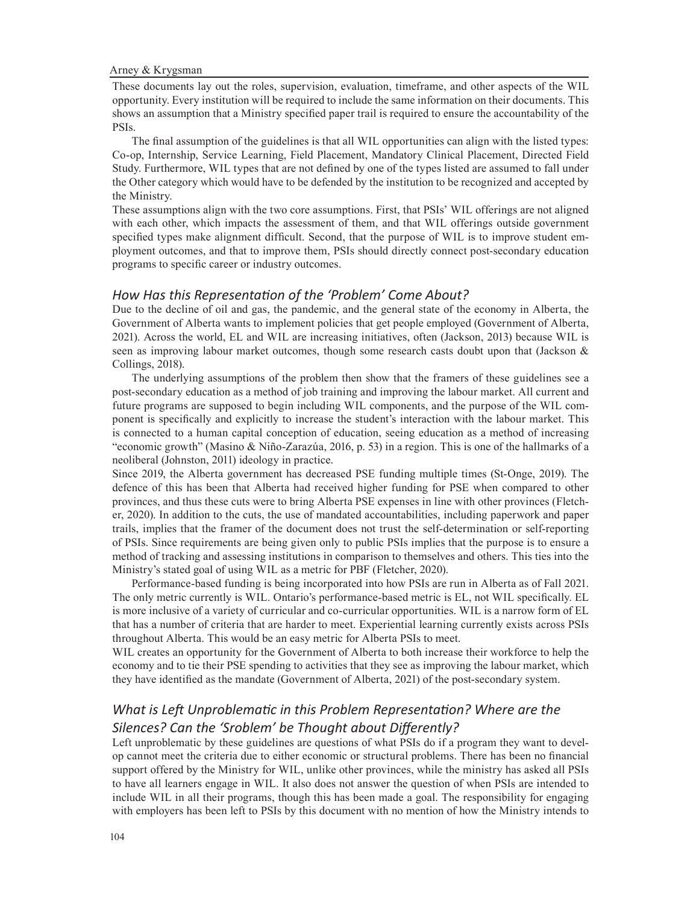These documents lay out the roles, supervision, evaluation, timeframe, and other aspects of the WIL opportunity. Every institution will be required to include the same information on their documents. This shows an assumption that a Ministry specified paper trail is required to ensure the accountability of the PSIs.

The final assumption of the guidelines is that all WIL opportunities can align with the listed types: Co-op, Internship, Service Learning, Field Placement, Mandatory Clinical Placement, Directed Field Study. Furthermore, WIL types that are not defined by one of the types listed are assumed to fall under the Other category which would have to be defended by the institution to be recognized and accepted by the Ministry.

These assumptions align with the two core assumptions. First, that PSIs' WIL offerings are not aligned with each other, which impacts the assessment of them, and that WIL offerings outside government specified types make alignment difficult. Second, that the purpose of WIL is to improve student employment outcomes, and that to improve them, PSIs should directly connect post-secondary education programs to specific career or industry outcomes.

#### *How Has this Representation of the 'Problem' Come About?*

Due to the decline of oil and gas, the pandemic, and the general state of the economy in Alberta, the Government of Alberta wants to implement policies that get people employed (Government of Alberta, 2021). Across the world, EL and WIL are increasing initiatives, often (Jackson, 2013) because WIL is seen as improving labour market outcomes, though some research casts doubt upon that (Jackson & Collings, 2018).

The underlying assumptions of the problem then show that the framers of these guidelines see a post-secondary education as a method of job training and improving the labour market. All current and future programs are supposed to begin including WIL components, and the purpose of the WIL component is specifically and explicitly to increase the student's interaction with the labour market. This is connected to a human capital conception of education, seeing education as a method of increasing "economic growth" (Masino & Niño-Zarazúa, 2016, p. 53) in a region. This is one of the hallmarks of a neoliberal (Johnston, 2011) ideology in practice.

Since 2019, the Alberta government has decreased PSE funding multiple times (St-Onge, 2019). The defence of this has been that Alberta had received higher funding for PSE when compared to other provinces, and thus these cuts were to bring Alberta PSE expenses in line with other provinces (Fletcher, 2020). In addition to the cuts, the use of mandated accountabilities, including paperwork and paper trails, implies that the framer of the document does not trust the self-determination or self-reporting of PSIs. Since requirements are being given only to public PSIs implies that the purpose is to ensure a method of tracking and assessing institutions in comparison to themselves and others. This ties into the Ministry's stated goal of using WIL as a metric for PBF (Fletcher, 2020).

Performance-based funding is being incorporated into how PSIs are run in Alberta as of Fall 2021. The only metric currently is WIL. Ontario's performance-based metric is EL, not WIL specifically. EL is more inclusive of a variety of curricular and co-curricular opportunities. WIL is a narrow form of EL that has a number of criteria that are harder to meet. Experiential learning currently exists across PSIs throughout Alberta. This would be an easy metric for Alberta PSIs to meet.

WIL creates an opportunity for the Government of Alberta to both increase their workforce to help the economy and to tie their PSE spending to activities that they see as improving the labour market, which they have identified as the mandate (Government of Alberta, 2021) of the post-secondary system.

## *What is Left Unproblematic in this Problem Representation? Where are the Silences? Can the 'Sroblem' be Thought about Differently?*

Left unproblematic by these guidelines are questions of what PSIs do if a program they want to develop cannot meet the criteria due to either economic or structural problems. There has been no financial support offered by the Ministry for WIL, unlike other provinces, while the ministry has asked all PSIs to have all learners engage in WIL. It also does not answer the question of when PSIs are intended to include WIL in all their programs, though this has been made a goal. The responsibility for engaging with employers has been left to PSIs by this document with no mention of how the Ministry intends to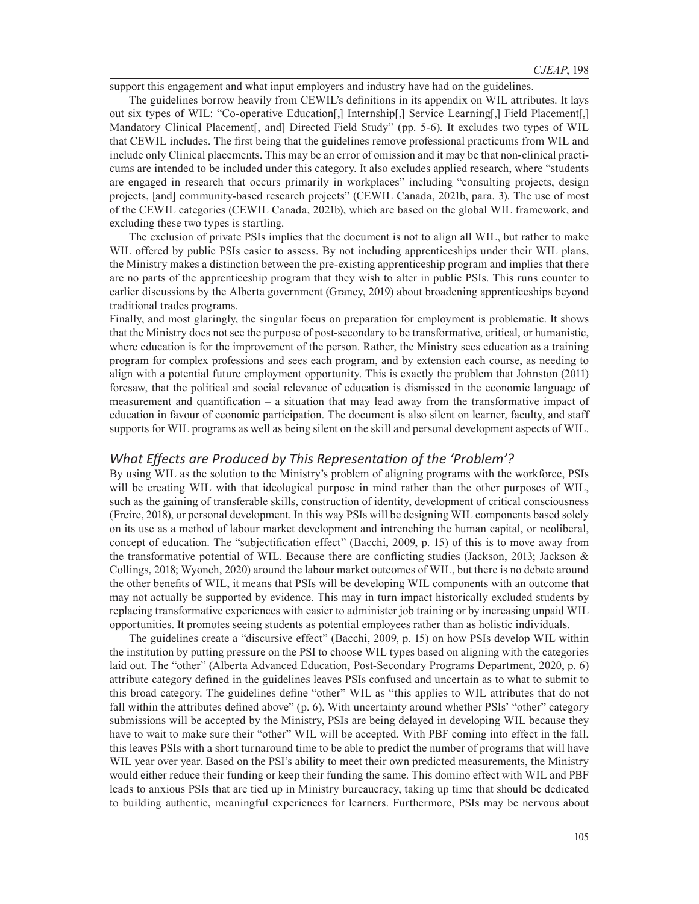support this engagement and what input employers and industry have had on the guidelines.

The guidelines borrow heavily from CEWIL's definitions in its appendix on WIL attributes. It lays out six types of WIL: "Co-operative Education[,] Internship[,] Service Learning[,] Field Placement[,] Mandatory Clinical Placement[, and] Directed Field Study" (pp. 5-6). It excludes two types of WIL that CEWIL includes. The first being that the guidelines remove professional practicums from WIL and include only Clinical placements. This may be an error of omission and it may be that non-clinical practicums are intended to be included under this category. It also excludes applied research, where "students are engaged in research that occurs primarily in workplaces" including "consulting projects, design projects, [and] community-based research projects" (CEWIL Canada, 2021b, para. 3). The use of most of the CEWIL categories (CEWIL Canada, 2021b), which are based on the global WIL framework, and excluding these two types is startling.

The exclusion of private PSIs implies that the document is not to align all WIL, but rather to make WIL offered by public PSIs easier to assess. By not including apprenticeships under their WIL plans, the Ministry makes a distinction between the pre-existing apprenticeship program and implies that there are no parts of the apprenticeship program that they wish to alter in public PSIs. This runs counter to earlier discussions by the Alberta government (Graney, 2019) about broadening apprenticeships beyond traditional trades programs.

Finally, and most glaringly, the singular focus on preparation for employment is problematic. It shows that the Ministry does not see the purpose of post-secondary to be transformative, critical, or humanistic, where education is for the improvement of the person. Rather, the Ministry sees education as a training program for complex professions and sees each program, and by extension each course, as needing to align with a potential future employment opportunity. This is exactly the problem that Johnston (2011) foresaw, that the political and social relevance of education is dismissed in the economic language of measurement and quantification – a situation that may lead away from the transformative impact of education in favour of economic participation. The document is also silent on learner, faculty, and staff supports for WIL programs as well as being silent on the skill and personal development aspects of WIL.

#### *What Effects are Produced by This Representation of the 'Problem'?*

By using WIL as the solution to the Ministry's problem of aligning programs with the workforce, PSIs will be creating WIL with that ideological purpose in mind rather than the other purposes of WIL, such as the gaining of transferable skills, construction of identity, development of critical consciousness (Freire, 2018), or personal development. In this way PSIs will be designing WIL components based solely on its use as a method of labour market development and intrenching the human capital, or neoliberal, concept of education. The "subjectification effect" (Bacchi, 2009, p. 15) of this is to move away from the transformative potential of WIL. Because there are conflicting studies (Jackson, 2013; Jackson & Collings, 2018; Wyonch, 2020) around the labour market outcomes of WIL, but there is no debate around the other benefits of WIL, it means that PSIs will be developing WIL components with an outcome that may not actually be supported by evidence. This may in turn impact historically excluded students by replacing transformative experiences with easier to administer job training or by increasing unpaid WIL opportunities. It promotes seeing students as potential employees rather than as holistic individuals.

The guidelines create a "discursive effect" (Bacchi, 2009, p. 15) on how PSIs develop WIL within the institution by putting pressure on the PSI to choose WIL types based on aligning with the categories laid out. The "other" (Alberta Advanced Education, Post-Secondary Programs Department, 2020, p. 6) attribute category defined in the guidelines leaves PSIs confused and uncertain as to what to submit to this broad category. The guidelines define "other" WIL as "this applies to WIL attributes that do not fall within the attributes defined above" (p. 6). With uncertainty around whether PSIs' "other" category submissions will be accepted by the Ministry, PSIs are being delayed in developing WIL because they have to wait to make sure their "other" WIL will be accepted. With PBF coming into effect in the fall, this leaves PSIs with a short turnaround time to be able to predict the number of programs that will have WIL year over year. Based on the PSI's ability to meet their own predicted measurements, the Ministry would either reduce their funding or keep their funding the same. This domino effect with WIL and PBF leads to anxious PSIs that are tied up in Ministry bureaucracy, taking up time that should be dedicated to building authentic, meaningful experiences for learners. Furthermore, PSIs may be nervous about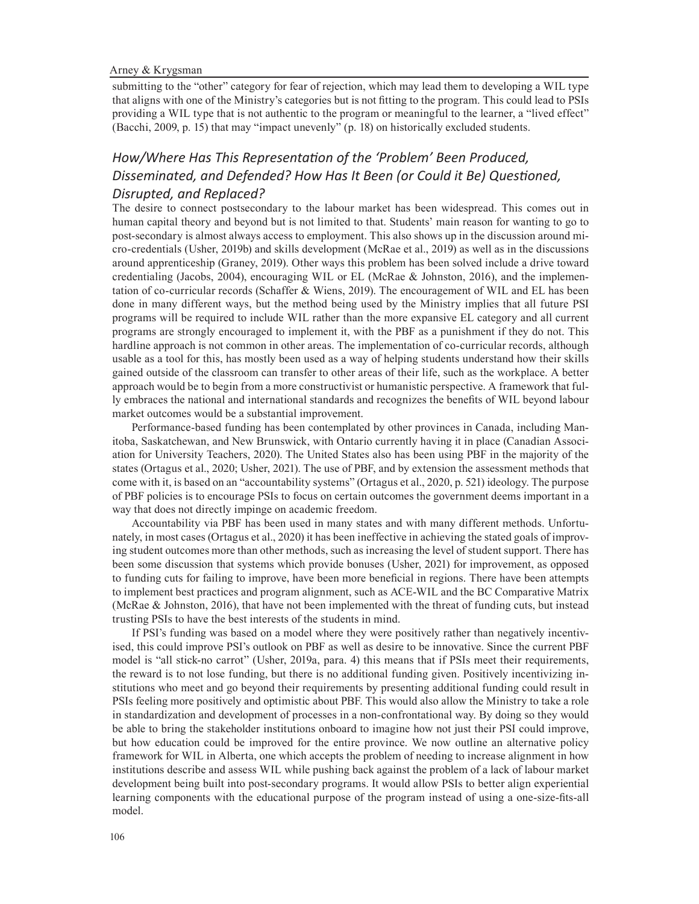Arney & Krygsman

submitting to the "other" category for fear of rejection, which may lead them to developing a WIL type that aligns with one of the Ministry's categories but is not fitting to the program. This could lead to PSIs providing a WIL type that is not authentic to the program or meaningful to the learner, a "lived effect" (Bacchi, 2009, p. 15) that may "impact unevenly" (p. 18) on historically excluded students.

## *How/Where Has This Representation of the 'Problem' Been Produced, Disseminated, and Defended? How Has It Been (or Could it Be) Questioned, Disrupted, and Replaced?*

The desire to connect postsecondary to the labour market has been widespread. This comes out in human capital theory and beyond but is not limited to that. Students' main reason for wanting to go to post-secondary is almost always access to employment. This also shows up in the discussion around micro-credentials (Usher, 2019b) and skills development (McRae et al., 2019) as well as in the discussions around apprenticeship (Graney, 2019). Other ways this problem has been solved include a drive toward credentialing (Jacobs, 2004), encouraging WIL or EL (McRae & Johnston, 2016), and the implementation of co-curricular records (Schaffer & Wiens, 2019). The encouragement of WIL and EL has been done in many different ways, but the method being used by the Ministry implies that all future PSI programs will be required to include WIL rather than the more expansive EL category and all current programs are strongly encouraged to implement it, with the PBF as a punishment if they do not. This hardline approach is not common in other areas. The implementation of co-curricular records, although usable as a tool for this, has mostly been used as a way of helping students understand how their skills gained outside of the classroom can transfer to other areas of their life, such as the workplace. A better approach would be to begin from a more constructivist or humanistic perspective. A framework that fully embraces the national and international standards and recognizes the benefits of WIL beyond labour market outcomes would be a substantial improvement.

Performance-based funding has been contemplated by other provinces in Canada, including Manitoba, Saskatchewan, and New Brunswick, with Ontario currently having it in place (Canadian Association for University Teachers, 2020). The United States also has been using PBF in the majority of the states (Ortagus et al., 2020; Usher, 2021). The use of PBF, and by extension the assessment methods that come with it, is based on an "accountability systems" (Ortagus et al., 2020, p. 521) ideology. The purpose of PBF policies is to encourage PSIs to focus on certain outcomes the government deems important in a way that does not directly impinge on academic freedom.

Accountability via PBF has been used in many states and with many different methods. Unfortunately, in most cases (Ortagus et al., 2020) it has been ineffective in achieving the stated goals of improving student outcomes more than other methods, such as increasing the level of student support. There has been some discussion that systems which provide bonuses (Usher, 2021) for improvement, as opposed to funding cuts for failing to improve, have been more beneficial in regions. There have been attempts to implement best practices and program alignment, such as ACE-WIL and the BC Comparative Matrix (McRae & Johnston, 2016), that have not been implemented with the threat of funding cuts, but instead trusting PSIs to have the best interests of the students in mind.

If PSI's funding was based on a model where they were positively rather than negatively incentivised, this could improve PSI's outlook on PBF as well as desire to be innovative. Since the current PBF model is "all stick-no carrot" (Usher, 2019a, para. 4) this means that if PSIs meet their requirements, the reward is to not lose funding, but there is no additional funding given. Positively incentivizing institutions who meet and go beyond their requirements by presenting additional funding could result in PSIs feeling more positively and optimistic about PBF. This would also allow the Ministry to take a role in standardization and development of processes in a non-confrontational way. By doing so they would be able to bring the stakeholder institutions onboard to imagine how not just their PSI could improve, but how education could be improved for the entire province. We now outline an alternative policy framework for WIL in Alberta, one which accepts the problem of needing to increase alignment in how institutions describe and assess WIL while pushing back against the problem of a lack of labour market development being built into post-secondary programs. It would allow PSIs to better align experiential learning components with the educational purpose of the program instead of using a one-size-fits-all model.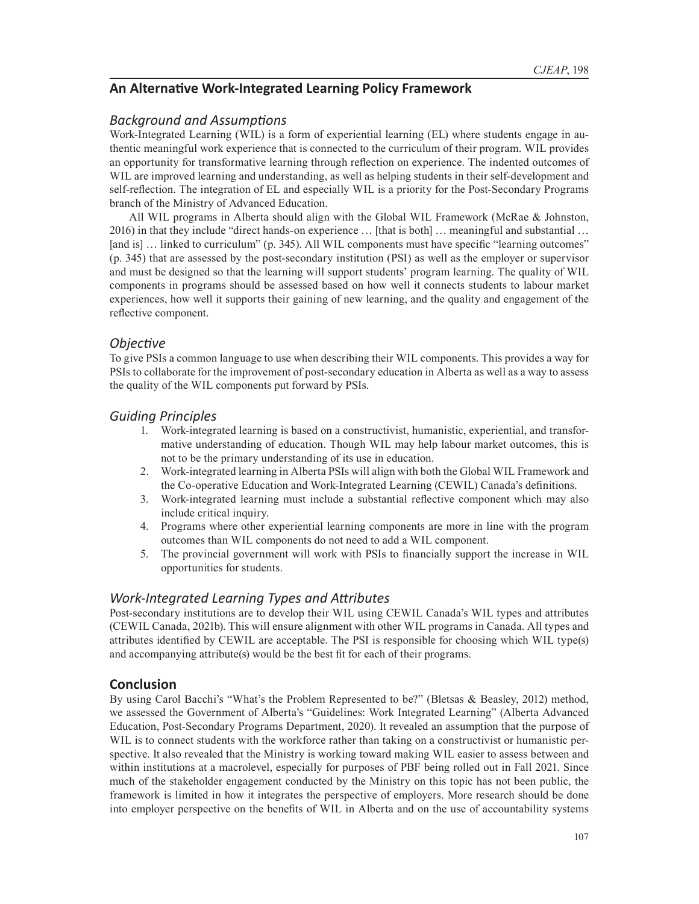## **An Alternative Work-Integrated Learning Policy Framework**

## *Background and Assumptions*

Work-Integrated Learning (WIL) is a form of experiential learning (EL) where students engage in authentic meaningful work experience that is connected to the curriculum of their program. WIL provides an opportunity for transformative learning through reflection on experience. The indented outcomes of WIL are improved learning and understanding, as well as helping students in their self-development and self-reflection. The integration of EL and especially WIL is a priority for the Post-Secondary Programs branch of the Ministry of Advanced Education.

All WIL programs in Alberta should align with the Global WIL Framework (McRae & Johnston, 2016) in that they include "direct hands-on experience … [that is both] … meaningful and substantial … [and is] ... linked to curriculum" (p. 345). All WIL components must have specific "learning outcomes" (p. 345) that are assessed by the post-secondary institution (PSI) as well as the employer or supervisor and must be designed so that the learning will support students' program learning. The quality of WIL components in programs should be assessed based on how well it connects students to labour market experiences, how well it supports their gaining of new learning, and the quality and engagement of the reflective component.

### *Objective*

To give PSIs a common language to use when describing their WIL components. This provides a way for PSIs to collaborate for the improvement of post-secondary education in Alberta as well as a way to assess the quality of the WIL components put forward by PSIs.

### *Guiding Principles*

- 1. Work-integrated learning is based on a constructivist, humanistic, experiential, and transformative understanding of education. Though WIL may help labour market outcomes, this is not to be the primary understanding of its use in education.
- 2. Work-integrated learning in Alberta PSIs will align with both the Global WIL Framework and the Co-operative Education and Work-Integrated Learning (CEWIL) Canada's definitions.
- 3. Work-integrated learning must include a substantial reflective component which may also include critical inquiry.
- 4. Programs where other experiential learning components are more in line with the program outcomes than WIL components do not need to add a WIL component.
- 5. The provincial government will work with PSIs to financially support the increase in WIL opportunities for students.

## *Work-Integrated Learning Types and Attributes*

Post-secondary institutions are to develop their WIL using CEWIL Canada's WIL types and attributes (CEWIL Canada, 2021b). This will ensure alignment with other WIL programs in Canada. All types and attributes identified by CEWIL are acceptable. The PSI is responsible for choosing which WIL type(s) and accompanying attribute(s) would be the best fit for each of their programs.

## **Conclusion**

By using Carol Bacchi's "What's the Problem Represented to be?" (Bletsas & Beasley, 2012) method, we assessed the Government of Alberta's "Guidelines: Work Integrated Learning" (Alberta Advanced Education, Post-Secondary Programs Department, 2020). It revealed an assumption that the purpose of WIL is to connect students with the workforce rather than taking on a constructivist or humanistic perspective. It also revealed that the Ministry is working toward making WIL easier to assess between and within institutions at a macrolevel, especially for purposes of PBF being rolled out in Fall 2021. Since much of the stakeholder engagement conducted by the Ministry on this topic has not been public, the framework is limited in how it integrates the perspective of employers. More research should be done into employer perspective on the benefits of WIL in Alberta and on the use of accountability systems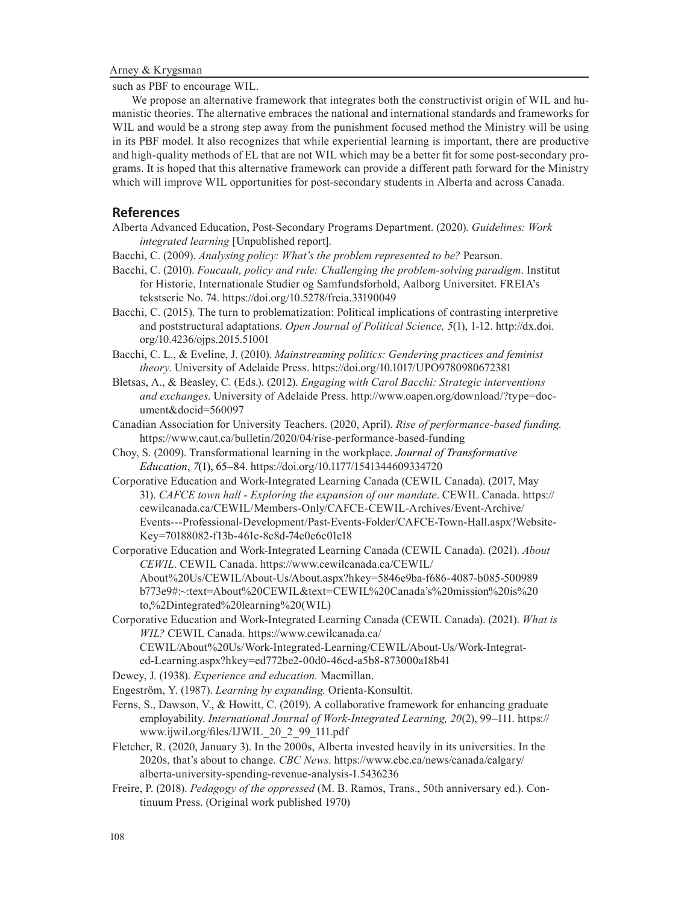such as PBF to encourage WIL.

We propose an alternative framework that integrates both the constructivist origin of WIL and humanistic theories. The alternative embraces the national and international standards and frameworks for WIL and would be a strong step away from the punishment focused method the Ministry will be using in its PBF model. It also recognizes that while experiential learning is important, there are productive and high-quality methods of EL that are not WIL which may be a better fit for some post-secondary programs. It is hoped that this alternative framework can provide a different path forward for the Ministry which will improve WIL opportunities for post-secondary students in Alberta and across Canada.

#### **References**

- Alberta Advanced Education, Post-Secondary Programs Department. (2020). *Guidelines: Work integrated learning* [Unpublished report].
- Bacchi, C. (2009). *Analysing policy: What's the problem represented to be?* Pearson.
- Bacchi, C. (2010). *Foucault, policy and rule: Challenging the problem-solving paradigm*. Institut for Historie, Internationale Studier og Samfundsforhold, Aalborg Universitet. FREIA's tekstserie No. 74. https://doi.org/10.5278/freia.33190049
- Bacchi, C. (2015). The turn to problematization: Political implications of contrasting interpretive and poststructural adaptations. *Open Journal of Political Science, 5*(1), 1-12. http://dx.doi. org/10.4236/ojps.2015.51001
- Bacchi, C. L., & Eveline, J. (2010). *Mainstreaming politics: Gendering practices and feminist theory*. University of Adelaide Press. https://doi.org/10.1017/UPO9780980672381
- Bletsas, A., & Beasley, C. (Eds.). (2012). *Engaging with Carol Bacchi: Strategic interventions and exchanges*. University of Adelaide Press. http://www.oapen.org/download/?type=document&docid=560097
- Canadian Association for University Teachers. (2020, April). *Rise of performance-based funding*. https://www.caut.ca/bulletin/2020/04/rise-performance-based-funding
- Choy, S. (2009). Transformational learning in the workplace. *Journal of Transformative Education*, *7*(1), 65–84. https://doi.org/10.1177/1541344609334720
- Corporative Education and Work-Integrated Learning Canada (CEWIL Canada). (2017, May 31). *CAFCE town hall - Exploring the expansion of our mandate*. CEWIL Canada. https:// cewilcanada.ca/CEWIL/Members-Only/CAFCE-CEWIL-Archives/Event-Archive/ Events---Professional-Development/Past-Events-Folder/CAFCE-Town-Hall.aspx?Website-Key=70188082-f13b-461c-8c8d-74e0e6c01c18
- Corporative Education and Work-Integrated Learning Canada (CEWIL Canada). (2021). *About CEWIL*. CEWIL Canada. https://www.cewilcanada.ca/CEWIL/ About%20Us/CEWIL/About-Us/About.aspx?hkey=5846e9ba-f686-4087-b085-500989 b773e9#:~:text=About%20CEWIL&text=CEWIL%20Canada's%20mission%20is%20 to,%2Dintegrated%20learning%20(WIL)
- Corporative Education and Work-Integrated Learning Canada (CEWIL Canada). (2021). *What is WIL?* CEWIL Canada. https://www.cewilcanada.ca/ CEWIL/About%20Us/Work-Integrated-Learning/CEWIL/About-Us/Work-Integrated-Learning.aspx?hkey=ed772be2-00d0-46cd-a5b8-873000a18b41
- Dewey, J. (1938). *Experience and education.* Macmillan.
- Engeström, Y. (1987). *Learning by expanding.* Orienta-Konsultit.
- Ferns, S., Dawson, V., & Howitt, C. (2019). A collaborative framework for enhancing graduate employability. *International Journal of Work-Integrated Learning, 20*(2), 99–111. https:// www.ijwil.org/files/IJWIL\_20\_2\_99\_111.pdf
- Fletcher, R. (2020, January 3). In the 2000s, Alberta invested heavily in its universities. In the 2020s, that's about to change. *CBC News*. https://www.cbc.ca/news/canada/calgary/ alberta-university-spending-revenue-analysis-1.5436236
- Freire, P. (2018). *Pedagogy of the oppressed* (M. B. Ramos, Trans., 50th anniversary ed.). Continuum Press. (Original work published 1970)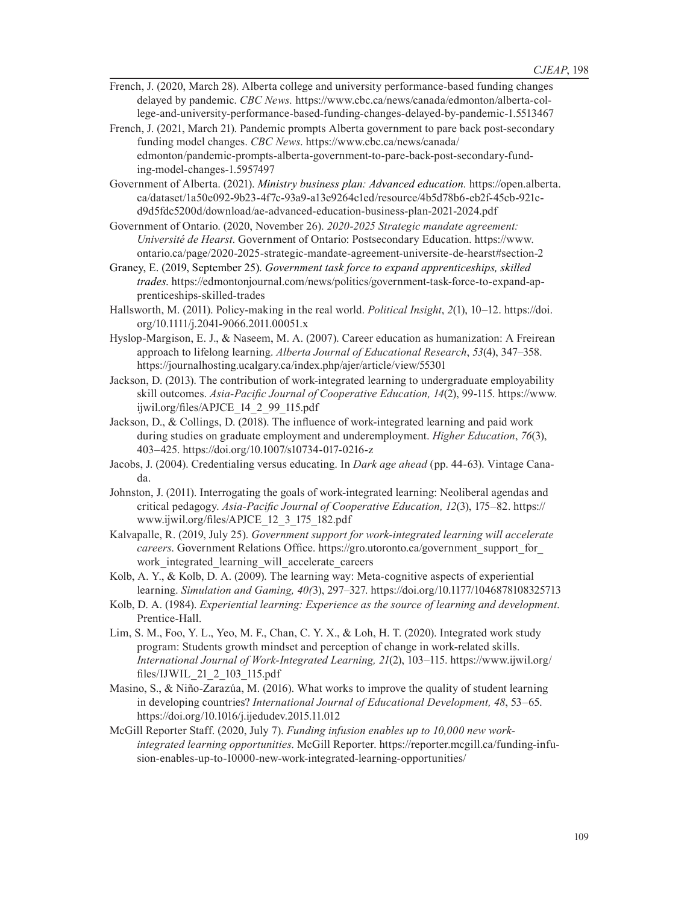- French, J. (2020, March 28). Alberta college and university performance-based funding changes delayed by pandemic. *CBC News.* https://www.cbc.ca/news/canada/edmonton/alberta-college-and-university-performance-based-funding-changes-delayed-by-pandemic-1.5513467
- French, J. (2021, March 21). Pandemic prompts Alberta government to pare back post-secondary funding model changes. *CBC News*. https://www.cbc.ca/news/canada/ edmonton/pandemic-prompts-alberta-government-to-pare-back-post-secondary-funding-model-changes-1.5957497
- Government of Alberta. (2021). *Ministry business plan: Advanced education.* https://open.alberta. ca/dataset/1a50e092-9b23-4f7c-93a9-a13e9264c1ed/resource/4b5d78b6-eb2f-45cb-921cd9d5fdc5200d/download/ae-advanced-education-business-plan-2021-2024.pdf
- Government of Ontario. (2020, November 26). *2020-2025 Strategic mandate agreement: Université de Hearst*. Government of Ontario: Postsecondary Education. https://www. ontario.ca/page/2020-2025-strategic-mandate-agreement-universite-de-hearst#section-2
- Graney, E. (2019, September 25). *Government task force to expand apprenticeships, skilled trades*. https://edmontonjournal.com/news/politics/government-task-force-to-expand-apprenticeships-skilled-trades
- Hallsworth, M. (2011). Policy-making in the real world. *Political Insight*, *2*(1), 10–12. https://doi. org/10.1111/j.2041-9066.2011.00051.x
- Hyslop-Margison, E. J., & Naseem, M. A. (2007). Career education as humanization: A Freirean approach to lifelong learning. *Alberta Journal of Educational Research*, *53*(4), 347–358. https://journalhosting.ucalgary.ca/index.php/ajer/article/view/55301
- Jackson, D. (2013). The contribution of work-integrated learning to undergraduate employability skill outcomes. *Asia-Pacific Journal of Cooperative Education, 14*(2), 99-115. https://www. ijwil.org/files/APJCE\_14\_2\_99\_115.pdf
- Jackson, D., & Collings, D. (2018). The influence of work-integrated learning and paid work during studies on graduate employment and underemployment. *Higher Education*, *76*(3), 403–425. https://doi.org/10.1007/s10734-017-0216-z
- Jacobs, J. (2004). Credentialing versus educating. In *Dark age ahead* (pp. 44-63). Vintage Canada.
- Johnston, J. (2011). Interrogating the goals of work-integrated learning: Neoliberal agendas and critical pedagogy. *Asia-Pacific Journal of Cooperative Education, 12*(3), 175–82. https:// www.ijwil.org/files/APJCE\_12\_3\_175\_182.pdf
- Kalvapalle, R. (2019, July 25). *Government support for work-integrated learning will accelerate careers*. Government Relations Office. https://gro.utoronto.ca/government\_support\_for\_ work\_integrated\_learning\_will\_accelerate\_careers
- Kolb, A. Y., & Kolb, D. A. (2009). The learning way: Meta-cognitive aspects of experiential learning. *Simulation and Gaming, 40(*3), 297–327. https://doi.org/10.1177/1046878108325713
- Kolb, D. A. (1984). *Experiential learning: Experience as the source of learning and development*. Prentice-Hall.
- Lim, S. M., Foo, Y. L., Yeo, M. F., Chan, C. Y. X., & Loh, H. T. (2020). Integrated work study program: Students growth mindset and perception of change in work-related skills. *International Journal of Work-Integrated Learning, 21*(2), 103–115. https://www.ijwil.org/ files/IJWIL\_21\_2\_103\_115.pdf
- Masino, S., & Niño-Zarazúa, M. (2016). What works to improve the quality of student learning in developing countries? *International Journal of Educational Development, 48*, 53–65. https://doi.org/10.1016/j.ijedudev.2015.11.012
- McGill Reporter Staff. (2020, July 7). *Funding infusion enables up to 10,000 new workintegrated learning opportunities*. McGill Reporter. https://reporter.mcgill.ca/funding-infusion-enables-up-to-10000-new-work-integrated-learning-opportunities/